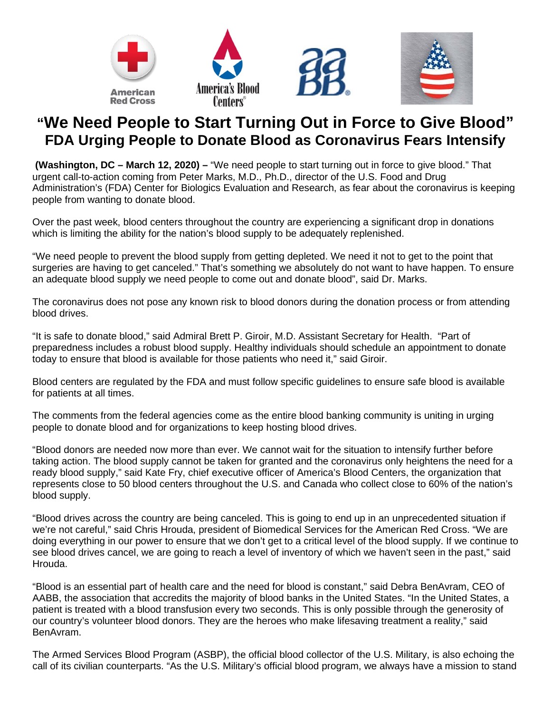

## **"We Need People to Start Turning Out in Force to Give Blood" FDA Urging People to Donate Blood as Coronavirus Fears Intensify**

**(Washington, DC – March 12, 2020) –** "We need people to start turning out in force to give blood." That urgent call-to-action coming from Peter Marks, M.D., Ph.D., director of the U.S. Food and Drug Administration's (FDA) Center for Biologics Evaluation and Research, as fear about the coronavirus is keeping people from wanting to donate blood.

Over the past week, blood centers throughout the country are experiencing a significant drop in donations which is limiting the ability for the nation's blood supply to be adequately replenished.

"We need people to prevent the blood supply from getting depleted. We need it not to get to the point that surgeries are having to get canceled." That's something we absolutely do not want to have happen. To ensure an adequate blood supply we need people to come out and donate blood", said Dr. Marks.

The coronavirus does not pose any known risk to blood donors during the donation process or from attending blood drives.

"It is safe to donate blood," said Admiral Brett P. Giroir, M.D. Assistant Secretary for Health. "Part of preparedness includes a robust blood supply. Healthy individuals should schedule an appointment to donate today to ensure that blood is available for those patients who need it," said Giroir.

Blood centers are regulated by the FDA and must follow specific guidelines to ensure safe blood is available for patients at all times.

The comments from the federal agencies come as the entire blood banking community is uniting in urging people to donate blood and for organizations to keep hosting blood drives.

"Blood donors are needed now more than ever. We cannot wait for the situation to intensify further before taking action. The blood supply cannot be taken for granted and the coronavirus only heightens the need for a ready blood supply," said Kate Fry, chief executive officer of America's Blood Centers, the organization that represents close to 50 blood centers throughout the U.S. and Canada who collect close to 60% of the nation's blood supply.

"Blood drives across the country are being canceled. This is going to end up in an unprecedented situation if we're not careful," said Chris Hrouda, president of Biomedical Services for the American Red Cross. "We are doing everything in our power to ensure that we don't get to a critical level of the blood supply. If we continue to see blood drives cancel, we are going to reach a level of inventory of which we haven't seen in the past," said Hrouda.

"Blood is an essential part of health care and the need for blood is constant," said Debra BenAvram, CEO of AABB, the association that accredits the majority of blood banks in the United States. "In the United States, a patient is treated with a blood transfusion every two seconds. This is only possible through the generosity of our country's volunteer blood donors. They are the heroes who make lifesaving treatment a reality," said BenAvram.

The Armed Services Blood Program (ASBP), the official blood collector of the U.S. Military, is also echoing the call of its civilian counterparts. "As the U.S. Military's official blood program, we always have a mission to stand